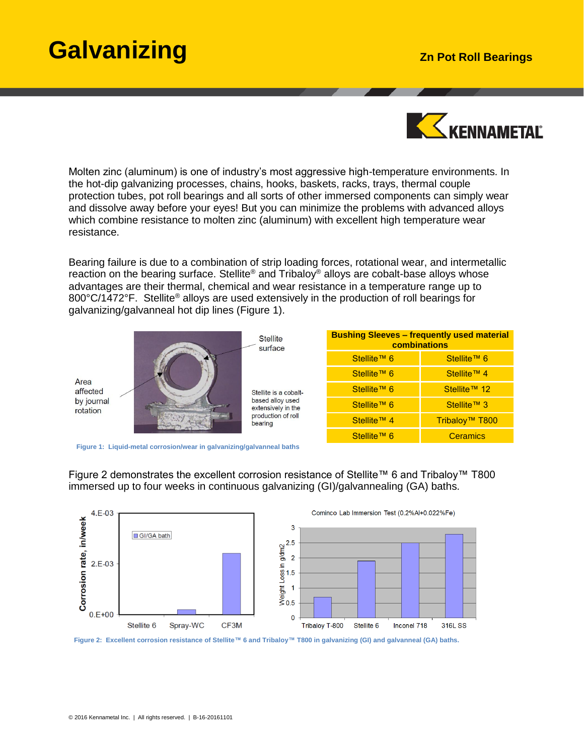# **Galvanizing** <br>*Zn Pot Roll Bearings*



Molten zinc (aluminum) is one of industry's most aggressive high-temperature environments. In the hot-dip galvanizing processes, chains, hooks, baskets, racks, trays, thermal couple protection tubes, pot roll bearings and all sorts of other immersed components can simply wear and dissolve away before your eyes! But you can minimize the problems with advanced alloys which combine resistance to molten zinc (aluminum) with excellent high temperature wear resistance.

Bearing failure is due to a combination of strip loading forces, rotational wear, and intermetallic reaction on the bearing surface. Stellite® and Tribaloy® alloys are cobalt-base alloys whose advantages are their thermal, chemical and wear resistance in a temperature range up to 800°C/1472°F. Stellite® alloys are used extensively in the production of roll bearings for galvanizing/galvanneal hot dip lines (Figure 1).

| Area<br>affected<br>by journal<br>rotation |  | <b>Stellite</b><br>surface<br>Stellite is a cobalt-<br>based alloy used<br>extensively in the<br>production of roll<br>bearing | <b>Bushing Sleeves - frequently used material</b><br>combinations |                            |
|--------------------------------------------|--|--------------------------------------------------------------------------------------------------------------------------------|-------------------------------------------------------------------|----------------------------|
|                                            |  |                                                                                                                                | Stellite <sup>™</sup> 6                                           | Stellite™ 6                |
|                                            |  |                                                                                                                                | Stellite <sup>™</sup> 6                                           | Stellite™ 4                |
|                                            |  |                                                                                                                                | Stellite <sup>™</sup> 6                                           | Stellite™ 12               |
|                                            |  |                                                                                                                                | Stellite <sup>™</sup> 6                                           | Stellite™ 3                |
|                                            |  |                                                                                                                                | Stellite <sup>™</sup> 4                                           | Tribaloy <sup>™</sup> T800 |
|                                            |  |                                                                                                                                | Stellite™ 6                                                       | <b>Ceramics</b>            |

**Figure 1: Liquid-metal corrosion/wear in galvanizing/galvanneal baths**





**Figure 2: Excellent corrosion resistance of Stellite™ 6 and Tribaloy™ T800 in galvanizing (GI) and galvanneal (GA) baths.**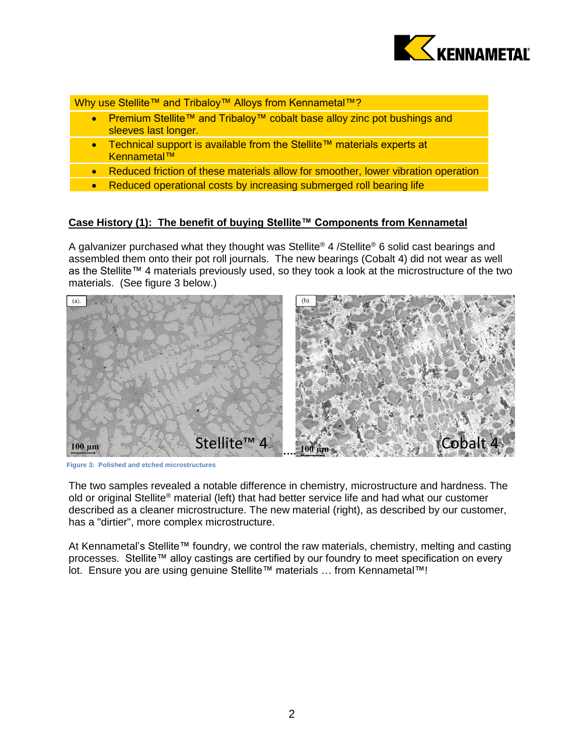

Why use Stellite™ and Tribaloy™ Alloys from Kennametal™?

- Premium Stellite™ and Tribaloy™ cobalt base alloy zinc pot bushings and sleeves last longer.
- Technical support is available from the Stellite™ materials experts at Kennametal™
- Reduced friction of these materials allow for smoother, lower vibration operation
- Reduced operational costs by increasing submerged roll bearing life

## **Case History (1): The benefit of buying Stellite™ Components from Kennametal**

A galvanizer purchased what they thought was Stellite<sup>®</sup> 4 /Stellite<sup>®</sup> 6 solid cast bearings and assembled them onto their pot roll journals. The new bearings (Cobalt 4) did not wear as well as the Stellite™ 4 materials previously used, so they took a look at the microstructure of the two materials. (See figure 3 below.)



**Figure 3: Polished and etched microstructures**

The two samples revealed a notable difference in chemistry, microstructure and hardness. The old or original Stellite® material (left) that had better service life and had what our customer described as a cleaner microstructure. The new material (right), as described by our customer, has a "dirtier", more complex microstructure.

At Kennametal's Stellite™ foundry, we control the raw materials, chemistry, melting and casting processes. Stellite™ alloy castings are certified by our foundry to meet specification on every lot. Ensure you are using genuine Stellite™ materials … from Kennametal™!